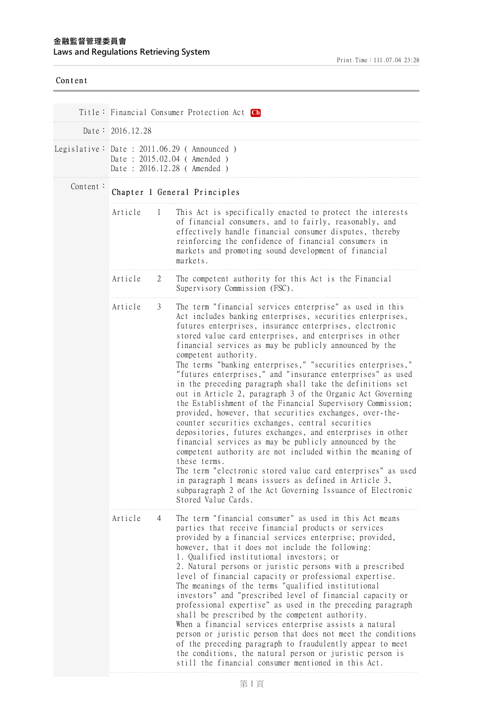## Content Title: Financial Consumer Protection Act **[Ch](EngLawContent.aspx?lan=C&id=1997)** Date: 2016.12.28 Legislative: Date : 2011.06.29 ( Announced ) Date : 2015.02.04 ( Amended ) Date : 2016.12.28 ( Amended ) Content: Chapter 1 General Principles Article 1 This Act is specifically enacted to protect the interests of financial consumers, and to fairly, reasonably, and effectively handle financial consumer disputes, thereby reinforcing the confidence of financial consumers in markets and promoting sound development of financial markets. Article 2 The competent authority for this Act is the Financial Supervisory Commission (FSC). Article 3 The term "financial services enterprise" as used in this Act includes banking enterprises, securities enterprises, futures enterprises, insurance enterprises, electronic stored value card enterprises, and enterprises in other financial services as may be publicly announced by the competent authority. The terms "banking enterprises," "securities enterprises," "futures enterprises," and "insurance enterprises" as used in the preceding paragraph shall take the definitions set out in Article 2, paragraph 3 of the Organic Act Governing the Establishment of the Financial Supervisory Commission; provided, however, that securities exchanges, over-thecounter securities exchanges, central securities depositories, futures exchanges, and enterprises in other financial services as may be publicly announced by the competent authority are not included within the meaning of these terms. The term "electronic stored value card enterprises" as used in paragraph 1 means issuers as defined in Article 3, subparagraph 2 of the Act Governing Issuance of Electronic Stored Value Cards. Article 4 The term "financial consumer" as used in this Act means parties that receive financial products or services provided by a financial services enterprise; provided, however, that it does not include the following: 1. Qualified institutional investors; or 2. Natural persons or juristic persons with a prescribed level of financial capacity or professional expertise. The meanings of the terms "qualified institutional investors" and "prescribed level of financial capacity or professional expertise" as used in the preceding paragraph shall be prescribed by the competent authority. When a financial services enterprise assists a natural person or juristic person that does not meet the conditions of the preceding paragraph to fraudulently appear to meet the conditions, the natural person or juristic person is still the financial consumer mentioned in this Act.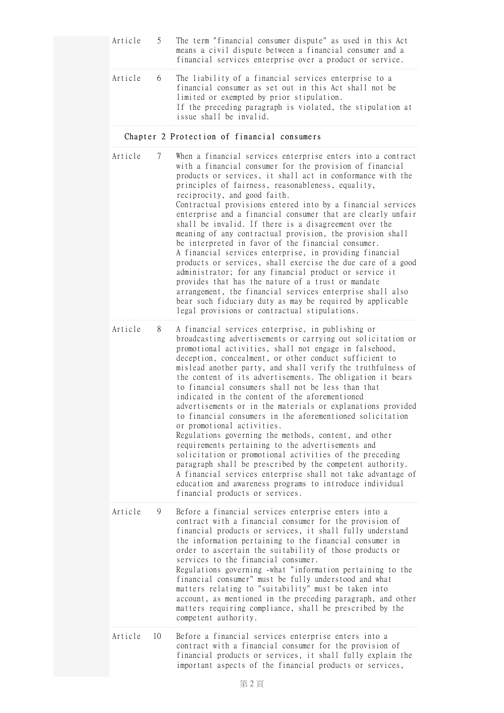|  | Article 5 The term "financial consumer dispute" as used in this Act<br>means a civil dispute between a financial consumer and a<br>financial services enterprise over a product or service.                                                                     |
|--|-----------------------------------------------------------------------------------------------------------------------------------------------------------------------------------------------------------------------------------------------------------------|
|  | Article 6 The liability of a financial services enterprise to a<br>financial consumer as set out in this Act shall not be<br>limited or exempted by prior stipulation.<br>If the preceding paragraph is violated, the stipulation at<br>issue shall be invalid. |

## Chapter 2 Protection of financial consumers

| Article | 7  | When a financial services enterprise enters into a contract<br>with a financial consumer for the provision of financial<br>products or services, it shall act in conformance with the<br>principles of fairness, reasonableness, equality,<br>reciprocity, and good faith.<br>Contractual provisions entered into by a financial services<br>enterprise and a financial consumer that are clearly unfair<br>shall be invalid. If there is a disagreement over the<br>meaning of any contractual provision, the provision shall<br>be interpreted in favor of the financial consumer.<br>A financial services enterprise, in providing financial<br>products or services, shall exercise the due care of a good<br>administrator; for any financial product or service it<br>provides that has the nature of a trust or mandate<br>arrangement, the financial services enterprise shall also<br>bear such fiduciary duty as may be required by applicable<br>legal provisions or contractual stipulations.                               |
|---------|----|-----------------------------------------------------------------------------------------------------------------------------------------------------------------------------------------------------------------------------------------------------------------------------------------------------------------------------------------------------------------------------------------------------------------------------------------------------------------------------------------------------------------------------------------------------------------------------------------------------------------------------------------------------------------------------------------------------------------------------------------------------------------------------------------------------------------------------------------------------------------------------------------------------------------------------------------------------------------------------------------------------------------------------------------|
| Article | 8  | A financial services enterprise, in publishing or<br>broadcasting advertisements or carrying out solicitation or<br>promotional activities, shall not engage in falsehood,<br>deception, concealment, or other conduct sufficient to<br>mislead another party, and shall verify the truthfulness of<br>the content of its advertisements. The obligation it bears<br>to financial consumers shall not be less than that<br>indicated in the content of the aforementioned<br>advertisements or in the materials or explanations provided<br>to financial consumers in the aforementioned solicitation<br>or promotional activities.<br>Regulations governing the methods, content, and other<br>requirements pertaining to the advertisements and<br>solicitation or promotional activities of the preceding<br>paragraph shall be prescribed by the competent authority.<br>A financial services enterprise shall not take advantage of<br>education and awareness programs to introduce individual<br>financial products or services. |
| Article | 9  | Before a financial services enterprise enters into a<br>contract with a financial consumer for the provision of<br>financial products or services, it shall fully understand<br>the information pertaining to the financial consumer in<br>order to ascertain the suitability of those products or<br>services to the financial consumer.<br>Regulations governing -what "information pertaining to the<br>financial consumer" must be fully understood and what<br>matters relating to "suitability" must be taken into<br>account, as mentioned in the preceding paragraph, and other<br>matters requiring compliance, shall be prescribed by the<br>competent authority.                                                                                                                                                                                                                                                                                                                                                             |
| Article | 10 | Before a financial services enterprise enters into a<br>contract with a financial consumer for the provision of<br>financial products or services, it shall fully explain the<br>important aspects of the financial products or services,                                                                                                                                                                                                                                                                                                                                                                                                                                                                                                                                                                                                                                                                                                                                                                                               |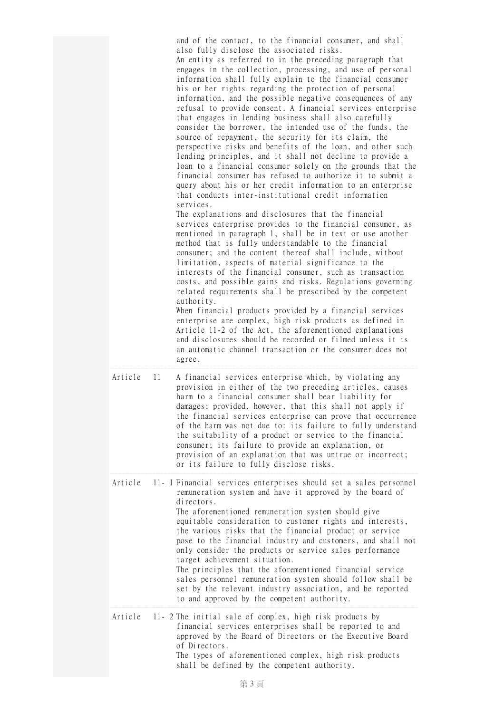|         |    | and of the contact, to the financial consumer, and shall<br>also fully disclose the associated risks.<br>An entity as referred to in the preceding paragraph that<br>engages in the collection, processing, and use of personal<br>information shall fully explain to the financial consumer<br>his or her rights regarding the protection of personal<br>information, and the possible negative consequences of any<br>refusal to provide consent. A financial services enterprise<br>that engages in lending business shall also carefully<br>consider the borrower, the intended use of the funds, the<br>source of repayment, the security for its claim, the<br>perspective risks and benefits of the loan, and other such<br>lending principles, and it shall not decline to provide a<br>loan to a financial consumer solely on the grounds that the<br>financial consumer has refused to authorize it to submit a<br>query about his or her credit information to an enterprise<br>that conducts inter-institutional credit information<br>services.<br>The explanations and disclosures that the financial<br>services enterprise provides to the financial consumer, as<br>mentioned in paragraph 1, shall be in text or use another<br>method that is fully understandable to the financial<br>consumer; and the content thereof shall include, without<br>limitation, aspects of material significance to the<br>interests of the financial consumer, such as transaction<br>costs, and possible gains and risks. Regulations governing<br>related requirements shall be prescribed by the competent<br>authority.<br>When financial products provided by a financial services<br>enterprise are complex, high risk products as defined in<br>Article 11-2 of the Act, the aforementioned explanations<br>and disclosures should be recorded or filmed unless it is<br>an automatic channel transaction or the consumer does not<br>agree. |
|---------|----|--------------------------------------------------------------------------------------------------------------------------------------------------------------------------------------------------------------------------------------------------------------------------------------------------------------------------------------------------------------------------------------------------------------------------------------------------------------------------------------------------------------------------------------------------------------------------------------------------------------------------------------------------------------------------------------------------------------------------------------------------------------------------------------------------------------------------------------------------------------------------------------------------------------------------------------------------------------------------------------------------------------------------------------------------------------------------------------------------------------------------------------------------------------------------------------------------------------------------------------------------------------------------------------------------------------------------------------------------------------------------------------------------------------------------------------------------------------------------------------------------------------------------------------------------------------------------------------------------------------------------------------------------------------------------------------------------------------------------------------------------------------------------------------------------------------------------------------------------------------------------------------------------------------------------------------------------------|
| Article | 11 | A financial services enterprise which, by violating any<br>provision in either of the two preceding articles, causes<br>harm to a financial consumer shall bear liability for<br>damages; provided, however, that this shall not apply if<br>the financial services enterprise can prove that occurrence<br>of the harm was not due to: its failure to fully understand<br>the suitability of a product or service to the financial<br>consumer; its failure to provide an explanation, or<br>provision of an explanation that was untrue or incorrect;<br>or its failure to fully disclose risks.                                                                                                                                                                                                                                                                                                                                                                                                                                                                                                                                                                                                                                                                                                                                                                                                                                                                                                                                                                                                                                                                                                                                                                                                                                                                                                                                                     |
| Article |    | 11-1 Financial services enterprises should set a sales personnel<br>remuneration system and have it approved by the board of<br>directors.<br>The aforementioned remuneration system should give<br>equitable consideration to customer rights and interests,<br>the various risks that the financial product or service<br>pose to the financial industry and customers, and shall not<br>only consider the products or service sales performance<br>target achievement situation.<br>The principles that the aforementioned financial service<br>sales personnel remuneration system should follow shall be<br>set by the relevant industry association, and be reported<br>to and approved by the competent authority.                                                                                                                                                                                                                                                                                                                                                                                                                                                                                                                                                                                                                                                                                                                                                                                                                                                                                                                                                                                                                                                                                                                                                                                                                              |
| Article |    | 11-2 The initial sale of complex, high risk products by<br>financial services enterprises shall be reported to and<br>approved by the Board of Directors or the Executive Board<br>of Directors.<br>The types of aforementioned complex, high risk products<br>shall be defined by the competent authority.                                                                                                                                                                                                                                                                                                                                                                                                                                                                                                                                                                                                                                                                                                                                                                                                                                                                                                                                                                                                                                                                                                                                                                                                                                                                                                                                                                                                                                                                                                                                                                                                                                            |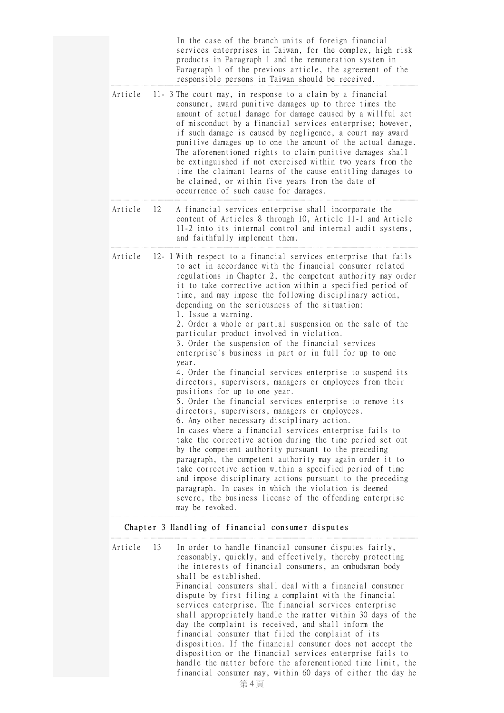In the case of the branch units of foreign financial services enterprises in Taiwan, for the complex, high risk products in Paragraph 1 and the remuneration system in Paragraph 1 of the previous article, the agreement of the responsible persons in Taiwan should be received.

- Article 11- 3 The court may, in response to a claim by a financial consumer, award punitive damages up to three times the amount of actual damage for damage caused by a willful act of misconduct by a financial services enterprise; however, if such damage is caused by negligence, a court may award punitive damages up to one the amount of the actual damage. The aforementioned rights to claim punitive damages shall be extinguished if not exercised within two years from the time the claimant learns of the cause entitling damages to be claimed, or within five years from the date of occurrence of such cause for damages.
- Article 12 A financial services enterprise shall incorporate the content of Articles 8 through 10, Article 11-1 and Article 11-2 into its internal control and internal audit systems, and faithfully implement them.
- Article 12- 1 With respect to a financial services enterprise that fails to act in accordance with the financial consumer related regulations in Chapter 2, the competent authority may order it to take corrective action within a specified period of time, and may impose the following disciplinary action, depending on the seriousness of the situation: 1. Issue a warning. 2. Order a whole or partial suspension on the sale of the particular product involved in violation. 3. Order the suspension of the financial services enterprise's business in part or in full for up to one year. 4. Order the financial services enterprise to suspend its directors, supervisors, managers or employees from their positions for up to one year. 5. Order the financial services enterprise to remove its directors, supervisors, managers or employees. 6. Any other necessary disciplinary action. In cases where a financial services enterprise fails to take the corrective action during the time period set out by the competent authority pursuant to the preceding paragraph, the competent authority may again order it to take corrective action within a specified period of time and impose disciplinary actions pursuant to the preceding paragraph. In cases in which the violation is deemed severe, the business license of the offending enterprise may be revoked.

## Chapter 3 Handling of financial consumer disputes

| Article | -13 | In order to handle financial consumer disputes fairly,<br>reasonably, quickly, and effectively, thereby protecting<br>the interests of financial consumers, an ombudsman body |
|---------|-----|-------------------------------------------------------------------------------------------------------------------------------------------------------------------------------|
|         |     | shall be established.                                                                                                                                                         |
|         |     | Financial consumers shall deal with a financial consumer                                                                                                                      |
|         |     | dispute by first filing a complaint with the financial                                                                                                                        |
|         |     | services enterprise. The financial services enterprise                                                                                                                        |
|         |     | shall appropriately handle the matter within 30 days of the                                                                                                                   |
|         |     | day the complaint is received, and shall inform the                                                                                                                           |
|         |     | financial consumer that filed the complaint of its                                                                                                                            |
|         |     | disposition. If the financial consumer does not accept the                                                                                                                    |
|         |     | disposition or the financial services enterprise fails to                                                                                                                     |
|         |     | handle the matter before the aforementioned time limit, the                                                                                                                   |
|         |     | financial consumer may, within 60 days of either the day he                                                                                                                   |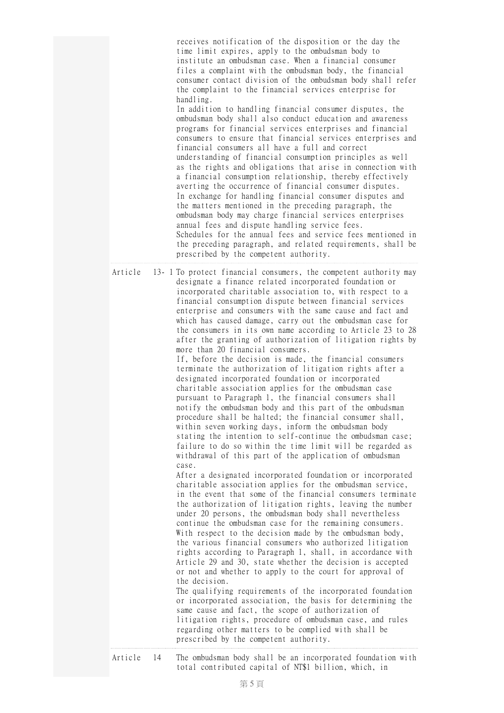receives notification of the disposition or the day the time limit expires, apply to the ombudsman body to institute an ombudsman case. When a financial consumer files a complaint with the ombudsman body, the financial consumer contact division of the ombudsman body shall refer the complaint to the financial services enterprise for handling. In addition to handling financial consumer disputes, the ombudsman body shall also conduct education and awareness programs for financial services enterprises and financial consumers to ensure that financial services enterprises and financial consumers all have a full and correct understanding of financial consumption principles as well as the rights and obligations that arise in connection with a financial consumption relationship, thereby effectively averting the occurrence of financial consumer disputes. In exchange for handling financial consumer disputes and the matters mentioned in the preceding paragraph, the ombudsman body may charge financial services enterprises annual fees and dispute handling service fees. Schedules for the annual fees and service fees mentioned in the preceding paragraph, and related requirements, shall be prescribed by the competent authority.

Article 13- 1 To protect financial consumers, the competent authority may designate a finance related incorporated foundation or incorporated charitable association to, with respect to a financial consumption dispute between financial services enterprise and consumers with the same cause and fact and which has caused damage, carry out the ombudsman case for the consumers in its own name according to Article 23 to 28 after the granting of authorization of litigation rights by more than 20 financial consumers. If, before the decision is made, the financial consumers terminate the authorization of litigation rights after a designated incorporated foundation or incorporated charitable association applies for the ombudsman case pursuant to Paragraph 1, the financial consumers shall notify the ombudsman body and this part of the ombudsman procedure shall be halted; the financial consumer shall, within seven working days, inform the ombudsman body stating the intention to self-continue the ombudsman case; failure to do so within the time limit will be regarded as withdrawal of this part of the application of ombudsman case. After a designated incorporated foundation or incorporated charitable association applies for the ombudsman service, in the event that some of the financial consumers terminate the authorization of litigation rights, leaving the number under 20 persons, the ombudsman body shall nevertheless continue the ombudsman case for the remaining consumers. With respect to the decision made by the ombudsman body, the various financial consumers who authorized litigation rights according to Paragraph 1, shall, in accordance with Article 29 and 30, state whether the decision is accepted or not and whether to apply to the court for approval of the decision. The qualifying requirements of the incorporated foundation or incorporated association, the basis for determining the same cause and fact, the scope of authorization of litigation rights, procedure of ombudsman case, and rules regarding other matters to be complied with shall be prescribed by the competent authority.

Article 14 The ombudsman body shall be an incorporated foundation with total contributed capital of NT\$1 billion, which, in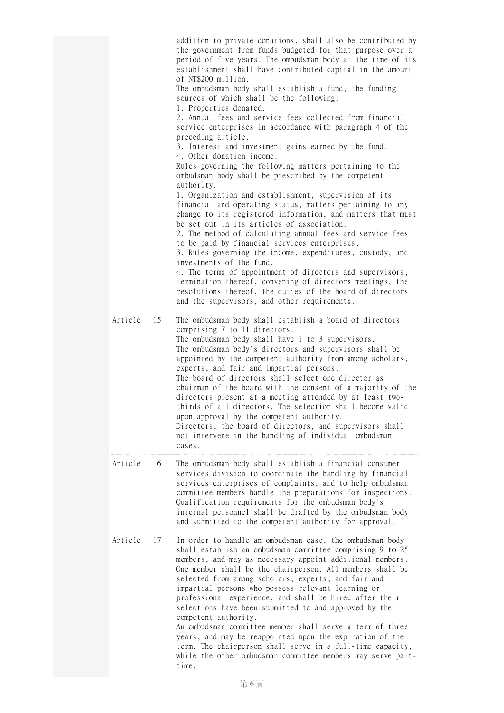|         |    | addition to private donations, shall also be contributed by<br>the government from funds budgeted for that purpose over a<br>period of five years. The ombudsman body at the time of its<br>establishment shall have contributed capital in the amount<br>of NT\$200 million.<br>The ombudsman body shall establish a fund, the funding<br>sources of which shall be the following:<br>1. Properties donated.<br>2. Annual fees and service fees collected from financial<br>service enterprises in accordance with paragraph 4 of the<br>preceding article.<br>3. Interest and investment gains earned by the fund.<br>4. Other donation income.<br>Rules governing the following matters pertaining to the<br>ombudsman body shall be prescribed by the competent<br>authority.<br>1. Organization and establishment, supervision of its<br>financial and operating status, matters pertaining to any<br>change to its registered information, and matters that must<br>be set out in its articles of association.<br>2. The method of calculating annual fees and service fees<br>to be paid by financial services enterprises.<br>3. Rules governing the income, expenditures, custody, and<br>investments of the fund.<br>4. The terms of appointment of directors and supervisors,<br>termination thereof, convening of directors meetings, the<br>resolutions thereof, the duties of the board of directors<br>and the supervisors, and other requirements. |
|---------|----|--------------------------------------------------------------------------------------------------------------------------------------------------------------------------------------------------------------------------------------------------------------------------------------------------------------------------------------------------------------------------------------------------------------------------------------------------------------------------------------------------------------------------------------------------------------------------------------------------------------------------------------------------------------------------------------------------------------------------------------------------------------------------------------------------------------------------------------------------------------------------------------------------------------------------------------------------------------------------------------------------------------------------------------------------------------------------------------------------------------------------------------------------------------------------------------------------------------------------------------------------------------------------------------------------------------------------------------------------------------------------------------------------------------------------------------------------------------------|
| Article | 15 | The ombudsman body shall establish a board of directors<br>comprising 7 to 11 directors.<br>The ombudsman body shall have 1 to 3 supervisors.<br>The ombudsman body's directors and supervisors shall be<br>appointed by the competent authority from among scholars,<br>experts, and fair and impartial persons.<br>The board of directors shall select one director as<br>chairman of the board with the consent of a majority of the<br>directors present at a meeting attended by at least two-<br>thirds of all directors. The selection shall become valid<br>upon approval by the competent authority.<br>Directors, the board of directors, and supervisors shall<br>not intervene in the handling of individual ombudsman<br>cases.                                                                                                                                                                                                                                                                                                                                                                                                                                                                                                                                                                                                                                                                                                                       |
| Article | 16 | The ombudsman body shall establish a financial consumer<br>services division to coordinate the handling by financial<br>services enterprises of complaints, and to help ombudsman<br>committee members handle the preparations for inspections.<br>Qualification requirements for the ombudsman body's<br>internal personnel shall be drafted by the ombudsman body<br>and submitted to the competent authority for approval.                                                                                                                                                                                                                                                                                                                                                                                                                                                                                                                                                                                                                                                                                                                                                                                                                                                                                                                                                                                                                                      |
| Article | 17 | In order to handle an ombudsman case, the ombudsman body<br>shall establish an ombudsman committee comprising 9 to 25<br>members, and may as necessary appoint additional members.<br>One member shall be the chairperson. All members shall be<br>selected from among scholars, experts, and fair and<br>impartial persons who possess relevant learning or<br>professional experience, and shall be hired after their<br>selections have been submitted to and approved by the<br>competent authority.<br>An ombudsman committee member shall serve a term of three<br>years, and may be reappointed upon the expiration of the<br>term. The chairperson shall serve in a full-time capacity,<br>while the other ombudsman committee members may serve part-<br>time.                                                                                                                                                                                                                                                                                                                                                                                                                                                                                                                                                                                                                                                                                            |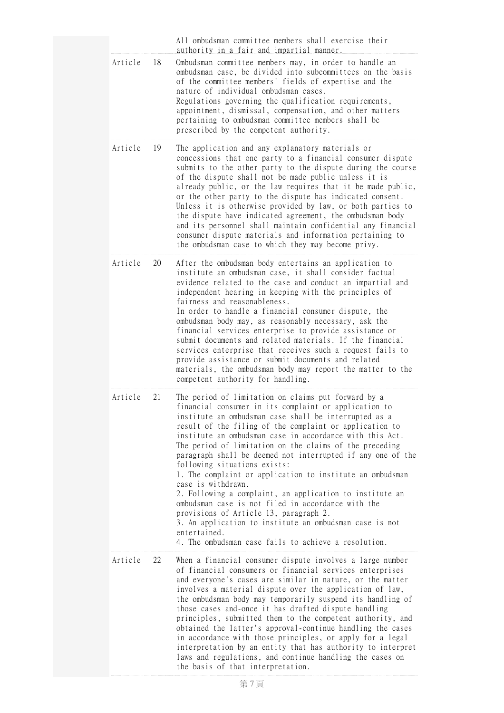|         |    | All ombudsman committee members shall exercise their<br>authority in a fair and impartial manner.                                                                                                                                                                                                                                                                                                                                                                                                                                                                                                                                                                                                                                                                                                                                        |
|---------|----|------------------------------------------------------------------------------------------------------------------------------------------------------------------------------------------------------------------------------------------------------------------------------------------------------------------------------------------------------------------------------------------------------------------------------------------------------------------------------------------------------------------------------------------------------------------------------------------------------------------------------------------------------------------------------------------------------------------------------------------------------------------------------------------------------------------------------------------|
| Article | 18 | Ombudsman committee members may, in order to handle an<br>ombudsman case, be divided into subcommittees on the basis<br>of the committee members' fields of expertise and the<br>nature of individual ombudsman cases.<br>Regulations governing the qualification requirements,<br>appointment, dismissal, compensation, and other matters<br>pertaining to ombudsman committee members shall be<br>prescribed by the competent authority.                                                                                                                                                                                                                                                                                                                                                                                               |
| Article | 19 | The application and any explanatory materials or<br>concessions that one party to a financial consumer dispute<br>submits to the other party to the dispute during the course<br>of the dispute shall not be made public unless it is<br>already public, or the law requires that it be made public,<br>or the other party to the dispute has indicated consent.<br>Unless it is otherwise provided by law, or both parties to<br>the dispute have indicated agreement, the ombudsman body<br>and its personnel shall maintain confidential any financial<br>consumer dispute materials and information pertaining to<br>the ombudsman case to which they may become privy.                                                                                                                                                              |
| Article | 20 | After the ombudsman body entertains an application to<br>institute an ombudsman case, it shall consider factual<br>evidence related to the case and conduct an impartial and<br>independent hearing in keeping with the principles of<br>fairness and reasonableness.<br>In order to handle a financial consumer dispute, the<br>ombudsman body may, as reasonably necessary, ask the<br>financial services enterprise to provide assistance or<br>submit documents and related materials. If the financial<br>services enterprise that receives such a request fails to<br>provide assistance or submit documents and related<br>materials, the ombudsman body may report the matter to the<br>competent authority for handling.                                                                                                        |
| Article | 21 | The period of limitation on claims put forward by a<br>financial consumer in its complaint or application to<br>institute an ombudsman case shall be interrupted as a<br>result of the filing of the complaint or application to<br>institute an ombudsman case in accordance with this Act.<br>The period of limitation on the claims of the preceding<br>paragraph shall be deemed not interrupted if any one of the<br>following situations exists:<br>1. The complaint or application to institute an ombudsman<br>case is withdrawn.<br>2. Following a complaint, an application to institute an<br>ombudsman case is not filed in accordance with the<br>provisions of Article 13, paragraph 2.<br>3. An application to institute an ombudsman case is not<br>entertained.<br>4. The ombudsman case fails to achieve a resolution. |
| Article | 22 | When a financial consumer dispute involves a large number<br>of financial consumers or financial services enterprises<br>and everyone's cases are similar in nature, or the matter<br>involves a material dispute over the application of law,<br>the ombudsman body may temporarily suspend its handling of<br>those cases and-once it has drafted dispute handling<br>principles, submitted them to the competent authority, and<br>obtained the latter's approval-continue handling the cases<br>in accordance with those principles, or apply for a legal<br>interpretation by an entity that has authority to interpret<br>laws and regulations, and continue handling the cases on<br>the basis of that interpretation.                                                                                                            |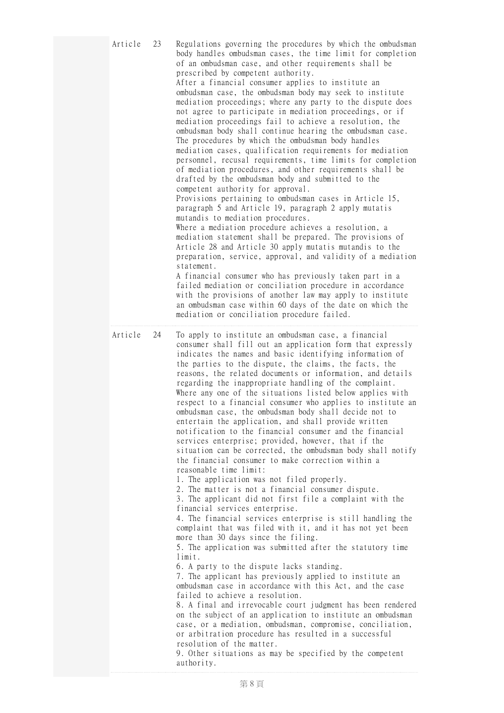| Article | 23 | Regulations governing the procedures by which the ombudsman<br>body handles ombudsman cases, the time limit for completion<br>of an ombudsman case, and other requirements shall be<br>prescribed by competent authority.<br>After a financial consumer applies to institute an<br>ombudsman case, the ombudsman body may seek to institute<br>mediation proceedings; where any party to the dispute does<br>not agree to participate in mediation proceedings, or if<br>mediation proceedings fail to achieve a resolution, the<br>ombudsman body shall continue hearing the ombudsman case.<br>The procedures by which the ombudsman body handles<br>mediation cases, qualification requirements for mediation<br>personnel, recusal requirements, time limits for completion<br>of mediation procedures, and other requirements shall be<br>drafted by the ombudsman body and submitted to the<br>competent authority for approval.<br>Provisions pertaining to ombudsman cases in Article 15,<br>paragraph 5 and Article 19, paragraph 2 apply mutatis<br>mutandis to mediation procedures.<br>Where a mediation procedure achieves a resolution, a<br>mediation statement shall be prepared. The provisions of<br>Article 28 and Article 30 apply mutatis mutandis to the<br>preparation, service, approval, and validity of a mediation<br>statement.<br>A financial consumer who has previously taken part in a<br>failed mediation or conciliation procedure in accordance<br>with the provisions of another law may apply to institute<br>an ombudsman case within 60 days of the date on which the<br>mediation or conciliation procedure failed.                                                                                                                                                                                                                                   |
|---------|----|-----------------------------------------------------------------------------------------------------------------------------------------------------------------------------------------------------------------------------------------------------------------------------------------------------------------------------------------------------------------------------------------------------------------------------------------------------------------------------------------------------------------------------------------------------------------------------------------------------------------------------------------------------------------------------------------------------------------------------------------------------------------------------------------------------------------------------------------------------------------------------------------------------------------------------------------------------------------------------------------------------------------------------------------------------------------------------------------------------------------------------------------------------------------------------------------------------------------------------------------------------------------------------------------------------------------------------------------------------------------------------------------------------------------------------------------------------------------------------------------------------------------------------------------------------------------------------------------------------------------------------------------------------------------------------------------------------------------------------------------------------------------------------------------------------------------------------------------------------------------------------------------------|
| Article | 24 | To apply to institute an ombudsman case, a financial<br>consumer shall fill out an application form that expressly<br>indicates the names and basic identifying information of<br>the parties to the dispute, the claims, the facts, the<br>reasons, the related documents or information, and details<br>regarding the inappropriate handling of the complaint.<br>Where any one of the situations listed below applies with<br>respect to a financial consumer who applies to institute an<br>ombudsman case, the ombudsman body shall decide not to<br>entertain the application, and shall provide written<br>notification to the financial consumer and the financial<br>services enterprise; provided, however, that if the<br>situation can be corrected, the ombudsman body shall notify<br>the financial consumer to make correction within a<br>reasonable time limit:<br>1. The application was not filed properly.<br>2. The matter is not a financial consumer dispute.<br>3. The applicant did not first file a complaint with the<br>financial services enterprise.<br>4. The financial services enterprise is still handling the<br>complaint that was filed with it, and it has not yet been<br>more than 30 days since the filing.<br>5. The application was submitted after the statutory time<br>limit.<br>6. A party to the dispute lacks standing.<br>7. The applicant has previously applied to institute an<br>ombudsman case in accordance with this Act, and the case<br>failed to achieve a resolution.<br>8. A final and irrevocable court judgment has been rendered<br>on the subject of an application to institute an ombudsman<br>case, or a mediation, ombudsman, compromise, conciliation,<br>or arbitration procedure has resulted in a successful<br>resolution of the matter.<br>9. Other situations as may be specified by the competent<br>authority. |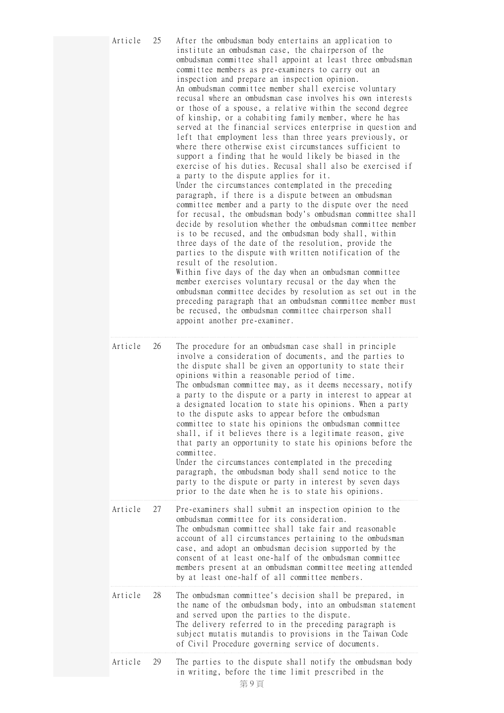| Article | 25 | After the ombudsman body entertains an application to<br>institute an ombudsman case, the chairperson of the<br>ombudsman committee shall appoint at least three ombudsman<br>committee members as pre-examiners to carry out an<br>inspection and prepare an inspection opinion.<br>An ombudsman committee member shall exercise voluntary<br>recusal where an ombudsman case involves his own interests<br>or those of a spouse, a relative within the second degree<br>of kinship, or a cohabiting family member, where he has<br>served at the financial services enterprise in question and<br>left that employment less than three years previously, or<br>where there otherwise exist circumstances sufficient to<br>support a finding that he would likely be biased in the<br>exercise of his duties. Recusal shall also be exercised if<br>a party to the dispute applies for it.<br>Under the circumstances contemplated in the preceding<br>paragraph, if there is a dispute between an ombudsman<br>committee member and a party to the dispute over the need<br>for recusal, the ombudsman body's ombudsman committee shall<br>decide by resolution whether the ombudsman committee member<br>is to be recused, and the ombudsman body shall, within<br>three days of the date of the resolution, provide the<br>parties to the dispute with written notification of the<br>result of the resolution.<br>Within five days of the day when an ombudsman committee<br>member exercises voluntary recusal or the day when the<br>ombudsman committee decides by resolution as set out in the<br>preceding paragraph that an ombudsman committee member must<br>be recused, the ombudsman committee chairperson shall<br>appoint another pre-examiner. |
|---------|----|------------------------------------------------------------------------------------------------------------------------------------------------------------------------------------------------------------------------------------------------------------------------------------------------------------------------------------------------------------------------------------------------------------------------------------------------------------------------------------------------------------------------------------------------------------------------------------------------------------------------------------------------------------------------------------------------------------------------------------------------------------------------------------------------------------------------------------------------------------------------------------------------------------------------------------------------------------------------------------------------------------------------------------------------------------------------------------------------------------------------------------------------------------------------------------------------------------------------------------------------------------------------------------------------------------------------------------------------------------------------------------------------------------------------------------------------------------------------------------------------------------------------------------------------------------------------------------------------------------------------------------------------------------------------------------------------------------------------------------------------------------------|
| Article | 26 | The procedure for an ombudsman case shall in principle<br>involve a consideration of documents, and the parties to<br>the dispute shall be given an opportunity to state their<br>opinions within a reasonable period of time.<br>The ombudsman committee may, as it deems necessary, notify<br>a party to the dispute or a party in interest to appear at<br>a designated location to state his opinions. When a party<br>to the dispute asks to appear before the ombudsman<br>committee to state his opinions the ombudsman committee<br>shall, if it believes there is a legitimate reason, give<br>that party an opportunity to state his opinions before the<br>committee.<br>Under the circumstances contemplated in the preceding<br>paragraph, the ombudsman body shall send notice to the<br>party to the dispute or party in interest by seven days<br>prior to the date when he is to state his opinions.                                                                                                                                                                                                                                                                                                                                                                                                                                                                                                                                                                                                                                                                                                                                                                                                                                            |
| Article | 27 | Pre-examiners shall submit an inspection opinion to the<br>ombudsman committee for its consideration.<br>The ombudsman committee shall take fair and reasonable<br>account of all circumstances pertaining to the ombudsman<br>case, and adopt an ombudsman decision supported by the<br>consent of at least one-half of the ombudsman committee<br>members present at an ombudsman committee meeting attended<br>by at least one-half of all committee members.                                                                                                                                                                                                                                                                                                                                                                                                                                                                                                                                                                                                                                                                                                                                                                                                                                                                                                                                                                                                                                                                                                                                                                                                                                                                                                 |
| Article | 28 | The ombudsman committee's decision shall be prepared, in<br>the name of the ombudsman body, into an ombudsman statement<br>and served upon the parties to the dispute.<br>The delivery referred to in the preceding paragraph is<br>subject mutatis mutandis to provisions in the Taiwan Code<br>of Civil Procedure governing service of documents.                                                                                                                                                                                                                                                                                                                                                                                                                                                                                                                                                                                                                                                                                                                                                                                                                                                                                                                                                                                                                                                                                                                                                                                                                                                                                                                                                                                                              |
| Article | 29 | The parties to the dispute shall notify the ombudsman body<br>in writing, before the time limit prescribed in the                                                                                                                                                                                                                                                                                                                                                                                                                                                                                                                                                                                                                                                                                                                                                                                                                                                                                                                                                                                                                                                                                                                                                                                                                                                                                                                                                                                                                                                                                                                                                                                                                                                |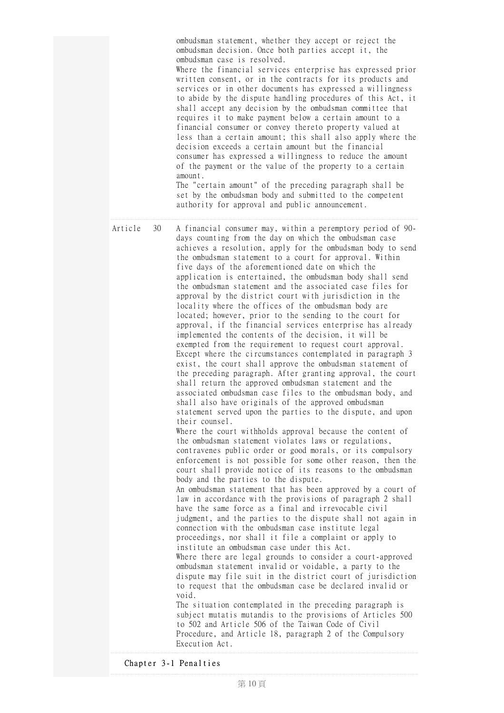|         |    | ombudsman statement, whether they accept or reject the<br>ombudsman decision. Once both parties accept it, the<br>ombudsman case is resolved.<br>Where the financial services enterprise has expressed prior<br>written consent, or in the contracts for its products and<br>services or in other documents has expressed a willingness<br>to abide by the dispute handling procedures of this Act, it<br>shall accept any decision by the ombudsman committee that<br>requires it to make payment below a certain amount to a<br>financial consumer or convey thereto property valued at<br>less than a certain amount; this shall also apply where the<br>decision exceeds a certain amount but the financial<br>consumer has expressed a willingness to reduce the amount<br>of the payment or the value of the property to a certain<br>amount.<br>The "certain amount" of the preceding paragraph shall be<br>set by the ombudsman body and submitted to the competent<br>authority for approval and public announcement.                                                                                                                                                                                                                                                                                                                                                                                                                                                                                                                                                                                                                                                                                                                                                                                                                                                                                                                                                                                                                                                                                                                                                                                                                                                                                                                                                                                                                                                                                                                                 |
|---------|----|----------------------------------------------------------------------------------------------------------------------------------------------------------------------------------------------------------------------------------------------------------------------------------------------------------------------------------------------------------------------------------------------------------------------------------------------------------------------------------------------------------------------------------------------------------------------------------------------------------------------------------------------------------------------------------------------------------------------------------------------------------------------------------------------------------------------------------------------------------------------------------------------------------------------------------------------------------------------------------------------------------------------------------------------------------------------------------------------------------------------------------------------------------------------------------------------------------------------------------------------------------------------------------------------------------------------------------------------------------------------------------------------------------------------------------------------------------------------------------------------------------------------------------------------------------------------------------------------------------------------------------------------------------------------------------------------------------------------------------------------------------------------------------------------------------------------------------------------------------------------------------------------------------------------------------------------------------------------------------------------------------------------------------------------------------------------------------------------------------------------------------------------------------------------------------------------------------------------------------------------------------------------------------------------------------------------------------------------------------------------------------------------------------------------------------------------------------------------------------------------------------------------------------------------------------------|
| Article | 30 | A financial consumer may, within a peremptory period of 90-<br>days counting from the day on which the ombudsman case<br>achieves a resolution, apply for the ombudsman body to send<br>the ombudsman statement to a court for approval. Within<br>five days of the aforementioned date on which the<br>application is entertained, the ombudsman body shall send<br>the ombudsman statement and the associated case files for<br>approval by the district court with jurisdiction in the<br>locality where the offices of the ombudsman body are<br>located; however, prior to the sending to the court for<br>approval, if the financial services enterprise has already<br>implemented the contents of the decision, it will be<br>exempted from the requirement to request court approval.<br>Except where the circumstances contemplated in paragraph 3<br>exist, the court shall approve the ombudsman statement of<br>the preceding paragraph. After granting approval, the court<br>shall return the approved ombudsman statement and the<br>associated ombudsman case files to the ombudsman body, and<br>shall also have originals of the approved ombudsman<br>statement served upon the parties to the dispute, and upon<br>their counsel.<br>Where the court withholds approval because the content of<br>the ombudsman statement violates laws or regulations,<br>contravenes public order or good morals, or its compulsory<br>enforcement is not possible for some other reason, then the<br>court shall provide notice of its reasons to the ombudsman<br>body and the parties to the dispute.<br>An ombudsman statement that has been approved by a court of<br>law in accordance with the provisions of paragraph 2 shall<br>have the same force as a final and irrevocable civil<br>judgment, and the parties to the dispute shall not again in<br>connection with the ombudsman case institute legal<br>proceedings, nor shall it file a complaint or apply to<br>institute an ombudsman case under this Act.<br>Where there are legal grounds to consider a court-approved<br>ombudsman statement invalid or voidable, a party to the<br>dispute may file suit in the district court of jurisdiction<br>to request that the ombudsman case be declared invalid or<br>void.<br>The situation contemplated in the preceding paragraph is<br>subject mutatis mutandis to the provisions of Articles 500<br>to 502 and Article 506 of the Taiwan Code of Civil<br>Procedure, and Article 18, paragraph 2 of the Compulsory<br>Execution Act. |

Chapter 3-1 Penalties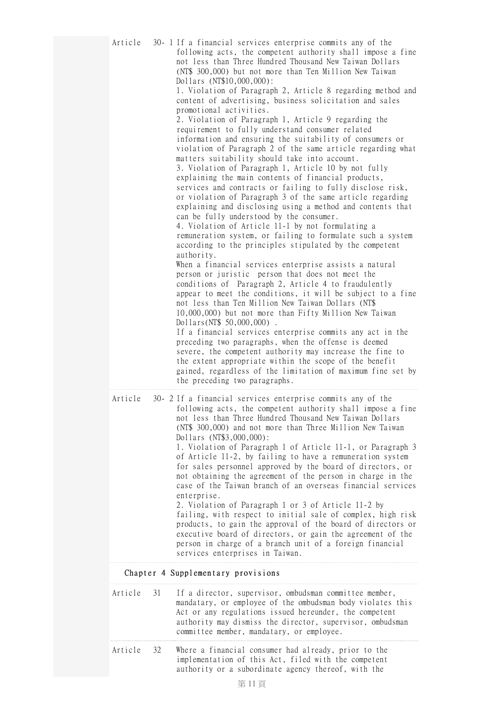| Article |    | 30- 1 If a financial services enterprise commits any of the<br>following acts, the competent authority shall impose a fine<br>not less than Three Hundred Thousand New Taiwan Dollars<br>(NT\$ 300,000) but not more than Ten Million New Taiwan<br>Dollars (NT\$10,000,000):<br>1. Violation of Paragraph 2, Article 8 regarding method and<br>content of advertising, business solicitation and sales<br>promotional activities.<br>2. Violation of Paragraph 1, Article 9 regarding the<br>requirement to fully understand consumer related<br>information and ensuring the suitability of consumers or<br>violation of Paragraph 2 of the same article regarding what<br>matters suitability should take into account.<br>3. Violation of Paragraph 1, Article 10 by not fully<br>explaining the main contents of financial products,<br>services and contracts or failing to fully disclose risk,<br>or violation of Paragraph 3 of the same article regarding<br>explaining and disclosing using a method and contents that<br>can be fully understood by the consumer.<br>4. Violation of Article 11-1 by not formulating a<br>remuneration system, or failing to formulate such a system<br>according to the principles stipulated by the competent<br>authority.<br>When a financial services enterprise assists a natural<br>person or juristic person that does not meet the<br>conditions of Paragraph 2, Article 4 to fraudulently<br>appear to meet the conditions, it will be subject to a fine<br>not less than Ten Million New Taiwan Dollars (NT\$<br>10,000,000) but not more than Fifty Million New Taiwan<br>Dollars(NT\$ 50,000,000).<br>If a financial services enterprise commits any act in the<br>preceding two paragraphs, when the offense is deemed<br>severe, the competent authority may increase the fine to<br>the extent appropriate within the scope of the benefit<br>gained, regardless of the limitation of maximum fine set by<br>the preceding two paragraphs. |
|---------|----|--------------------------------------------------------------------------------------------------------------------------------------------------------------------------------------------------------------------------------------------------------------------------------------------------------------------------------------------------------------------------------------------------------------------------------------------------------------------------------------------------------------------------------------------------------------------------------------------------------------------------------------------------------------------------------------------------------------------------------------------------------------------------------------------------------------------------------------------------------------------------------------------------------------------------------------------------------------------------------------------------------------------------------------------------------------------------------------------------------------------------------------------------------------------------------------------------------------------------------------------------------------------------------------------------------------------------------------------------------------------------------------------------------------------------------------------------------------------------------------------------------------------------------------------------------------------------------------------------------------------------------------------------------------------------------------------------------------------------------------------------------------------------------------------------------------------------------------------------------------------------------------------------------------------------------------------------------------------------------------------------------|
| Article |    | 30- 2 If a financial services enterprise commits any of the<br>following acts, the competent authority shall impose a fine<br>not less than Three Hundred Thousand New Taiwan Dollars<br>(NT\$ 300,000) and not more than Three Million New Taiwan<br>Dollars (NT\$3,000,000):<br>1. Violation of Paragraph 1 of Article 11-1, or Paragraph 3<br>of Article 11-2, by failing to have a remuneration system<br>for sales personnel approved by the board of directors, or<br>not obtaining the agreement of the person in charge in the<br>case of the Taiwan branch of an overseas financial services<br>enterprise.<br>2. Violation of Paragraph 1 or 3 of Article 11-2 by<br>failing, with respect to initial sale of complex, high risk<br>products, to gain the approval of the board of directors or<br>executive board of directors, or gain the agreement of the<br>person in charge of a branch unit of a foreign financial<br>services enterprises in Taiwan.                                                                                                                                                                                                                                                                                                                                                                                                                                                                                                                                                                                                                                                                                                                                                                                                                                                                                                                                                                                                                                 |
|         |    | Chapter 4 Supplementary provisions                                                                                                                                                                                                                                                                                                                                                                                                                                                                                                                                                                                                                                                                                                                                                                                                                                                                                                                                                                                                                                                                                                                                                                                                                                                                                                                                                                                                                                                                                                                                                                                                                                                                                                                                                                                                                                                                                                                                                                     |
| Article | 31 | If a director, supervisor, ombudsman committee member,<br>mandatary, or employee of the ombudsman body violates this<br>Act or any regulations issued hereunder, the competent<br>authority may dismiss the director, supervisor, ombudsman<br>committee member, mandatary, or employee.                                                                                                                                                                                                                                                                                                                                                                                                                                                                                                                                                                                                                                                                                                                                                                                                                                                                                                                                                                                                                                                                                                                                                                                                                                                                                                                                                                                                                                                                                                                                                                                                                                                                                                               |
|         |    |                                                                                                                                                                                                                                                                                                                                                                                                                                                                                                                                                                                                                                                                                                                                                                                                                                                                                                                                                                                                                                                                                                                                                                                                                                                                                                                                                                                                                                                                                                                                                                                                                                                                                                                                                                                                                                                                                                                                                                                                        |

Article 32 Where a financial consumer had already, prior to the implementation of this Act, filed with the competent authority or a subordinate agency thereof, with the